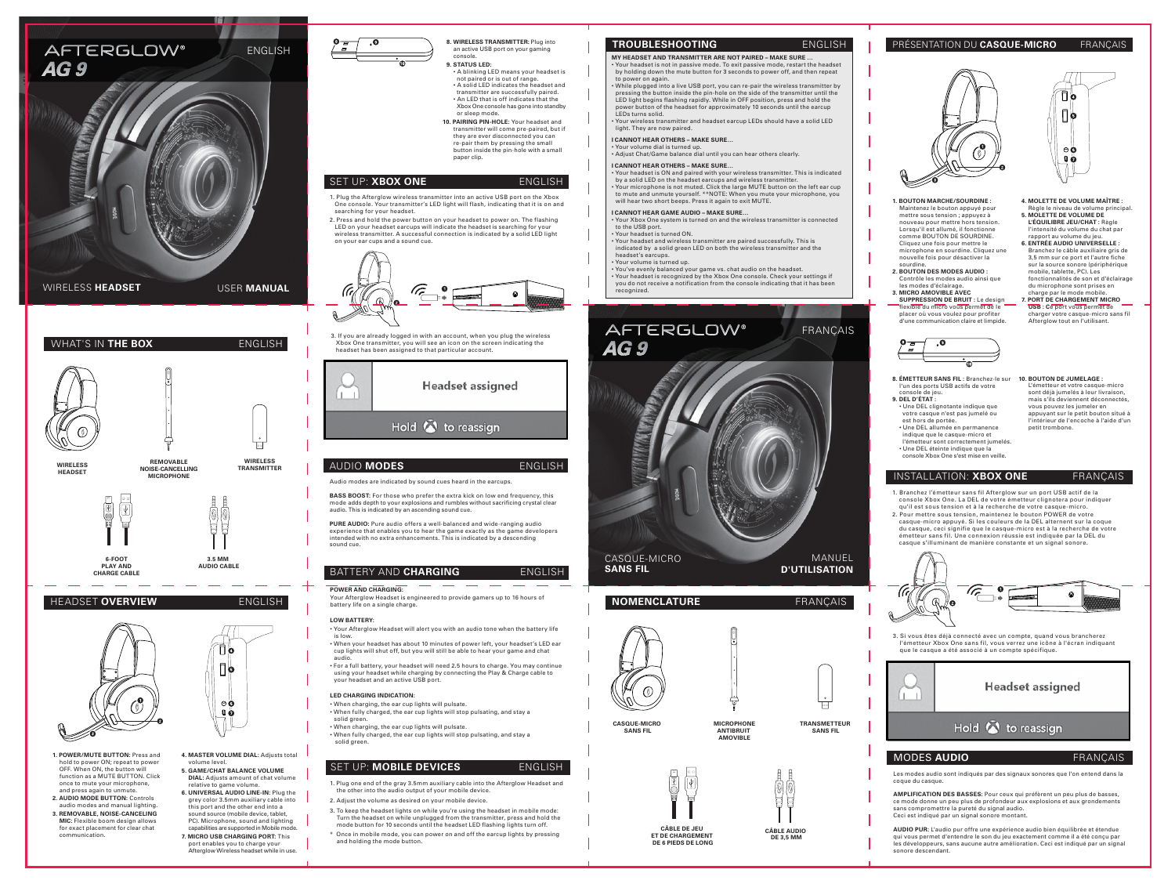## HEADSET **OVERVIEW** ENGLISH



## AUDIO **MODES** ENGLISH

## BATTERY AND **CHARGING** ENGLISH

#### Audio modes are indicated by sound cues heard in the earcups.

**BASS BOOST:** For those who prefer the extra kick on low end frequency, this mode adds depth to your explosions and rumbles without sacrificing crystal clear audio. This is indicated by an ascending sound cue.

Hold  $\bullet$  to reassign

Headset assigned

Your Afterglow Headset is engineered to provide gamers up to 16 hours of battery life on a single charge

**PURE AUDIO:** Pure audio offers a well-balanced and wide-ranging audio experience that enables you to hear the game exactly as the game developers intended with no extra enhancements. This is indicated by a descending sound cue.

- When charging, the ear cup lights will pulsate.
- When fully charged, the ear cup lights will stop pulsating, and stay a solid green.
- When charging, the ear cup lights will pulsate.
- When fully charged, the ear cup lights will stop pulsating, and stay a solid green

# SET UP: **MOBILE DEVICES** ENGLISH

#### **POWER AND CHARGING:**

### **LOW BATTERY:**

- Your Afterglow Headset will alert you with an audio tone when the battery life is low.
- When your headset has about 10 minutes of power left, your headset's LED ear cup lights will shut off, but you will still be able to hear your game and chat audio.
- For a full battery, your headset will need 2.5 hours to charge. You may continue using your headset while charging by connecting the Play & Charge cable to your headset and an active USB port.

#### **LED CHARGING INDICATION:**

- **1. POWER/MUTE BUTTON:** Press and hold to power ON; repeat to power OFF. When ON, the button will function as a MUTE BUTTON. Click once to mute your microphone, and press again to unmute.
- **2. AUDIO MODE BUTTON:** Controls audio modes and manual lighting.
- **3. REMOVABLE, NOISE-CANCELING MIC:** Flexible boom design allows for exact placement for clear chat communication.
- $\prod_{i=1}^{n}$  $\circ$ c  $\mathbf{0}$

# • Your headset is not in passive mode. To exit passive mode, restart the headset by holding down the mute button for 3 seconds to power off, and then repeat

- to power on again. While plugged into a live USB port, you can re-pair the wireless transmitter by pressing the button inside the pin-hole on the side of the transmitter until the
- LED light begins flashing rapidly. While in OFF position, press and hold the power button of the headset for approximately 10 seconds until the earcup • Your wireless transmitter and headset earcup LEDs should have a solid LED
- 

- Your headset is ON and paired with your wireless transmitter. This is indicated
- by a solid LED on the headset earcups and wireless transmitter.<br>• Your microphone is not muted. Click the large MUTE button on the left ear cup<br>to mute and unmute yourself. \*\*NOTE: When you mute your microphone, you
- indicated by a solid green LED on both the wireless transmitter and the
- you do not receive a notification from the console indicating that it has been

- **4. MASTER VOLUME DIAL:** Adjusts total volume level. **5. GAME/CHAT BALANCE VOLUME**
- **DIAL:** Adjusts amount of chat volume relative to game volume. **6. UNIVERSAL AUDIO LINE-IN:** Plug the
- grey color 3.5mm auxiliary cable into this port and the other end into a sound source (mobile device, tablet, PC). Microphone, sound and lighting capabilities are supported in Mobile mode.
- **7. MICRO USB CHARGING PORT:** This port enables you to charge your Afterglow Wireless headset while in use.



- ∏о Πφ  $\circ$   $\bullet$  $\mathbf{0}$   $\ddot{\mathbf{o}}$
- **4. MOLETTE DE VOLUME MAÎTRE :**
- Règle le niveau de volume principal. **5. MOLETTE DE VOLUME DE L'ÉQUILIBRE JEU/CHAT :** Règle l'intensité du volume du chat par rapport au volume du jeu.
- **6. ENTRÉE AUDIO UNIVERSELLE :**  Branchez le câble auxiliaire gris de 3,5 mm sur ce port et l'autre fiche sur la source sonore (périphérique mobile, tablette, PC). Les fonctionnalités de son et d'éclairage du microphone sont prises en
- charge par le mode mobile. **7. PORT DE CHARGEMENT MICRO USB : C**e port vous permet de charger votre casque-micro sans fil Afterglow tout en l'utilisant.
- **10. BOUTON DE JUMELAGE :**  L'émetteur et votre casque-micro sont déjà jumelés à leur livraison, mais s'ils deviennent déconnectés, vous pouvez les jumeler en appuyant sur le petit bouton situé à l'intérieur de l'encoche à l'aide d'un petit trombone.







**3.5 MM AUDIO CABLE**



**WIRELESS TRANSMITTER**

Les modes audio sont indiqués par des signaux sonores que l'on entend dans la coque du casque.

**AMPLIFICATION DES BASSES:** Pour ceux qui préfèrent un peu plus de basses, ce mode donne un peu plus de profondeur aux explosions et aux grondements sans compromettre la pureté du signal audio. Ceci est indiqué par un signal sonore montant.

**AUDIO PUR:** L'audio pur offre une expérience audio bien équilibrée et étendue qui vous permet d'entendre le son du jeu exactement comme il a été conçu par les développeurs, sans aucune autre amélioration. Ceci est indiqué par un signal sonore descendant.

- 1. Plug one end of the gray 3.5mm auxiliary cable into the Afterglow Headset and the other into the audio output of your mobile device.
- 2. Adjust the volume as desired on your mobile device.
- 3. To keep the headset lights on while you're using the headset in mobile mode: Turn the headset on while unplugged from the transmitter, press and hold the mode button for 10 seconds until the headset LED flashing lights turn off.
- $^{\epsilon}$  Once in mobile mode, you can power on and off the earcup lights by pressing and holding the mode button.
- **8. ÉMETTEUR SANS FIL :** Branchez-le sur l'un des ports USB actifs de votre console de jeu.
- **9. DEL D'ÉTAT :**
- Une DEL clignotante indique que votre casque n'est pas jumelé ou est hors de portée. • Une DEL allumée en permanence
- indique que le casque-micro et l'émetteur sont correctement jumelés.
- Une DEL éteinte indique que la console Xbox One s'est mise en veille.



## MODES **AUDIO** FRANÇAIS

## PRÉSENTATION DU **CASQUE-MICRO** FRANÇAIS



- **1. BOUTON MARCHE/SOURDINE :**  Maintenez le bouton appuyé pour mettre sous tension ; appuyez à nouveau pour mettre hors tension. Lorsqu'il est allumé, il fonctionne comme BOUTON DE SOURDINE. Cliquez une fois pour mettre le microphone en sourdine. Cliquez une nouvelle fois pour désactiver la
- sourdine. **2. BOUTON DES MODES AUDIO :**  Contrôle les modes audio ainsi que les modes d'éclairage.
- **3. MICRO AMOVIBLE AVEC SUPPRESSION DE BRUIT :** Le design flexible du micro vous permet de le placer où vous voulez pour profiter d'une communication claire et limpide.



- 1. Branchez l'émetteur sans fil Afterglow sur un port USB actif de la console Xbox One. La DEL de votre émetteur clignotera pour indiquer qu'il est sous tension et à la recherche de votre casque-micro.
- 2. Pour mettre sous tension, maintenez le bouton POWER de votre casque-micro appuyé. Si les couleurs de la DEL alternent sur la coque du casque, ceci signifie que le casque-micro est à la recherche de votre émetteur sans fil. Une connexion réussie est indiquée par la DEL du casque s'illuminant de manière constante et un signal sonore.



## INSTALLATION: **XBOX ONE** FRANÇAIS

3. Si vous êtes déjà connecté avec un compte, quand vous brancherez l'émetteur Xbox One sans fil, vous verrez une icône à l'écran indiquant que le casque a été associé à un compte spécifique.



**CÂBLE DE JEU ET DE CHARGEMENT DE 6 PIEDS DE LONG**